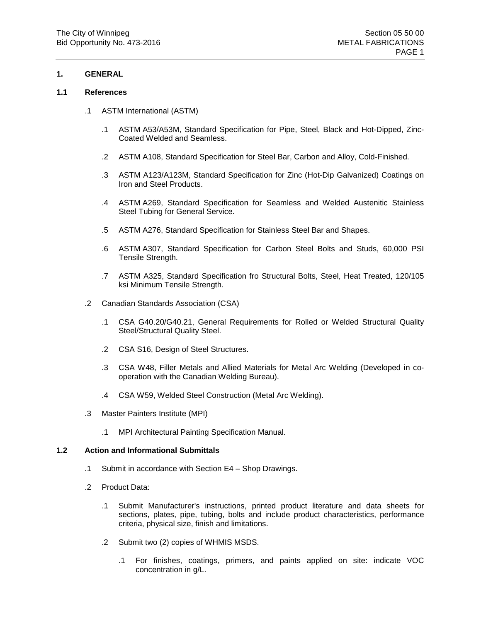# **1. GENERAL**

#### **1.1 References**

- .1 ASTM International (ASTM)
	- .1 ASTM A53/A53M, Standard Specification for Pipe, Steel, Black and Hot-Dipped, Zinc-Coated Welded and Seamless.
	- .2 ASTM A108, Standard Specification for Steel Bar, Carbon and Alloy, Cold-Finished.
	- .3 ASTM A123/A123M, Standard Specification for Zinc (Hot-Dip Galvanized) Coatings on Iron and Steel Products.
	- .4 ASTM A269, Standard Specification for Seamless and Welded Austenitic Stainless Steel Tubing for General Service.
	- .5 ASTM A276, Standard Specification for Stainless Steel Bar and Shapes.
	- .6 ASTM A307, Standard Specification for Carbon Steel Bolts and Studs, 60,000 PSI Tensile Strength.
	- .7 ASTM A325, Standard Specification fro Structural Bolts, Steel, Heat Treated, 120/105 ksi Minimum Tensile Strength.
- .2 Canadian Standards Association (CSA)
	- .1 CSA G40.20/G40.21, General Requirements for Rolled or Welded Structural Quality Steel/Structural Quality Steel.
	- .2 CSA S16, Design of Steel Structures.
	- .3 CSA W48, Filler Metals and Allied Materials for Metal Arc Welding (Developed in cooperation with the Canadian Welding Bureau).
	- .4 CSA W59, Welded Steel Construction (Metal Arc Welding).
- .3 Master Painters Institute (MPI)
	- .1 MPI Architectural Painting Specification Manual.

#### **1.2 Action and Informational Submittals**

- .1 Submit in accordance with Section E4 Shop Drawings.
- .2 Product Data:
	- .1 Submit Manufacturer's instructions, printed product literature and data sheets for sections, plates, pipe, tubing, bolts and include product characteristics, performance criteria, physical size, finish and limitations.
	- .2 Submit two (2) copies of WHMIS MSDS.
		- .1 For finishes, coatings, primers, and paints applied on site: indicate VOC concentration in g/L.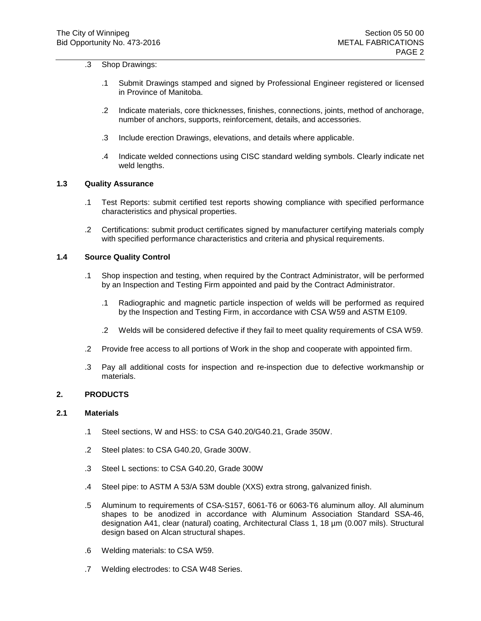## .3 Shop Drawings:

- .1 Submit Drawings stamped and signed by Professional Engineer registered or licensed in Province of Manitoba.
- .2 Indicate materials, core thicknesses, finishes, connections, joints, method of anchorage, number of anchors, supports, reinforcement, details, and accessories.
- .3 Include erection Drawings, elevations, and details where applicable.
- .4 Indicate welded connections using CISC standard welding symbols. Clearly indicate net weld lengths.

#### **1.3 Quality Assurance**

- .1 Test Reports: submit certified test reports showing compliance with specified performance characteristics and physical properties.
- .2 Certifications: submit product certificates signed by manufacturer certifying materials comply with specified performance characteristics and criteria and physical requirements.

#### **1.4 Source Quality Control**

- .1 Shop inspection and testing, when required by the Contract Administrator, will be performed by an Inspection and Testing Firm appointed and paid by the Contract Administrator.
	- .1 Radiographic and magnetic particle inspection of welds will be performed as required by the Inspection and Testing Firm, in accordance with CSA W59 and ASTM E109.
	- .2 Welds will be considered defective if they fail to meet quality requirements of CSA W59.
- .2 Provide free access to all portions of Work in the shop and cooperate with appointed firm.
- .3 Pay all additional costs for inspection and re-inspection due to defective workmanship or materials.

# **2. PRODUCTS**

#### **2.1 Materials**

- .1 Steel sections, W and HSS: to CSA G40.20/G40.21, Grade 350W.
- .2 Steel plates: to CSA G40.20, Grade 300W.
- .3 Steel L sections: to CSA G40.20, Grade 300W
- .4 Steel pipe: to ASTM A 53/A 53M double (XXS) extra strong, galvanized finish.
- .5 Aluminum to requirements of CSA-S157, 6061-T6 or 6063-T6 aluminum alloy. All aluminum shapes to be anodized in accordance with Aluminum Association Standard SSA-46, designation A41, clear (natural) coating, Architectural Class 1, 18 µm (0.007 mils). Structural design based on Alcan structural shapes.
- .6 Welding materials: to CSA W59.
- .7 Welding electrodes: to CSA W48 Series.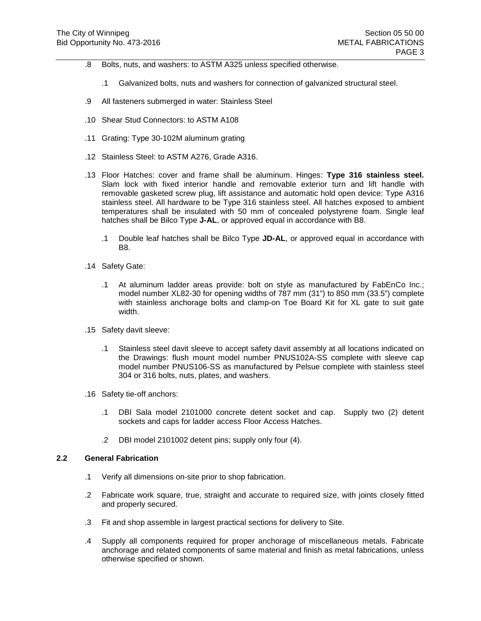- .8 Bolts, nuts, and washers: to ASTM A325 unless specified otherwise.
	- .1 Galvanized bolts, nuts and washers for connection of galvanized structural steel.
- .9 All fasteners submerged in water: Stainless Steel
- .10 Shear Stud Connectors: to ASTM A108
- .11 Grating: Type 30-102M aluminum grating
- .12 Stainless Steel: to ASTM A276, Grade A316.
- .13 Floor Hatches: cover and frame shall be aluminum. Hinges: **Type 316 stainless steel.** Slam lock with fixed interior handle and removable exterior turn and lift handle with removable gasketed screw plug, lift assistance and automatic hold open device: Type A316 stainless steel. All hardware to be Type 316 stainless steel. All hatches exposed to ambient temperatures shall be insulated with 50 mm of concealed polystyrene foam. Single leaf hatches shall be Bilco Type **J-AL**, or approved equal in accordance with B8.
	- .1 Double leaf hatches shall be Bilco Type **JD-AL**, or approved equal in accordance with B8.
- .14 Safety Gate:
	- .1 At aluminum ladder areas provide: bolt on style as manufactured by FabEnCo Inc.; model number XL82-30 for opening widths of 787 mm (31") to 850 mm (33.5") complete with stainless anchorage bolts and clamp-on Toe Board Kit for XL gate to suit gate width.
- .15 Safety davit sleeve:
	- .1 Stainless steel davit sleeve to accept safety davit assembly at all locations indicated on the Drawings: flush mount model number PNUS102A-SS complete with sleeve cap model number PNUS106-SS as manufactured by Pelsue complete with stainless steel 304 or 316 bolts, nuts, plates, and washers.
- .16 Safety tie-off anchors:
	- .1 DBI Sala model 2101000 concrete detent socket and cap. Supply two (2) detent sockets and caps for ladder access Floor Access Hatches.
	- .2 DBI model 2101002 detent pins; supply only four (4).

#### **2.2 General Fabrication**

- .1 Verify all dimensions on-site prior to shop fabrication.
- .2 Fabricate work square, true, straight and accurate to required size, with joints closely fitted and properly secured.
- .3 Fit and shop assemble in largest practical sections for delivery to Site.
- .4 Supply all components required for proper anchorage of miscellaneous metals. Fabricate anchorage and related components of same material and finish as metal fabrications, unless otherwise specified or shown.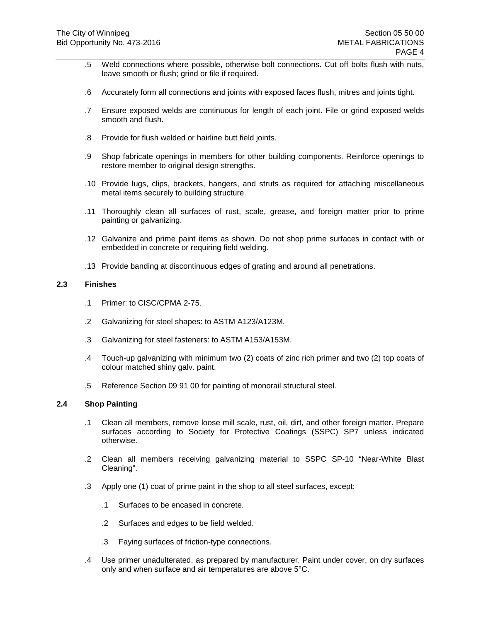- .5 Weld connections where possible, otherwise bolt connections. Cut off bolts flush with nuts, leave smooth or flush; grind or file if required.
- .6 Accurately form all connections and joints with exposed faces flush, mitres and joints tight.
- .7 Ensure exposed welds are continuous for length of each joint. File or grind exposed welds smooth and flush.
- .8 Provide for flush welded or hairline butt field joints.
- .9 Shop fabricate openings in members for other building components. Reinforce openings to restore member to original design strengths.
- .10 Provide lugs, clips, brackets, hangers, and struts as required for attaching miscellaneous metal items securely to building structure.
- .11 Thoroughly clean all surfaces of rust, scale, grease, and foreign matter prior to prime painting or galvanizing.
- .12 Galvanize and prime paint items as shown. Do not shop prime surfaces in contact with or embedded in concrete or requiring field welding.
- .13 Provide banding at discontinuous edges of grating and around all penetrations.

#### **2.3 Finishes**

- .1 Primer: to CISC/CPMA 2-75.
- .2 Galvanizing for steel shapes: to ASTM A123/A123M.
- .3 Galvanizing for steel fasteners: to ASTM A153/A153M.
- .4 Touch-up galvanizing with minimum two (2) coats of zinc rich primer and two (2) top coats of colour matched shiny galv. paint.
- .5 Reference Section 09 91 00 for painting of monorail structural steel.

## **2.4 Shop Painting**

- .1 Clean all members, remove loose mill scale, rust, oil, dirt, and other foreign matter. Prepare surfaces according to Society for Protective Coatings (SSPC) SP7 unless indicated otherwise.
- .2 Clean all members receiving galvanizing material to SSPC SP-10 "Near-White Blast Cleaning".
- .3 Apply one (1) coat of prime paint in the shop to all steel surfaces, except:
	- .1 Surfaces to be encased in concrete.
	- .2 Surfaces and edges to be field welded.
	- .3 Faying surfaces of friction-type connections.
- .4 Use primer unadulterated, as prepared by manufacturer. Paint under cover, on dry surfaces only and when surface and air temperatures are above 5°C.